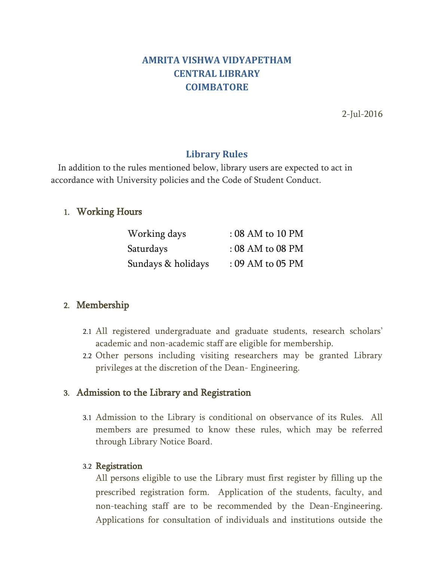# **AMRITA VISHWA VIDYAPETHAM CENTRAL LIBRARY COIMBATORE**

2-Jul-2016

## **Library Rules**

 In addition to the rules mentioned below, library users are expected to act in accordance with University policies and the Code of Student Conduct.

### 1. Working Hours

| Working days       | $: 08$ AM to $10$ PM                 |
|--------------------|--------------------------------------|
| Saturdays          | $: 08 \text{ AM}$ to $08 \text{ PM}$ |
| Sundays & holidays | $: 09$ AM to 05 PM                   |

### 2. Membership

- 2.1 All registered undergraduate and graduate students, research scholars' academic and non-academic staff are eligible for membership.
- 2.2 Other persons including visiting researchers may be granted Library privileges at the discretion of the Dean- Engineering.

#### 3. Admission to the Library and Registration

3.1 Admission to the Library is conditional on observance of its Rules. All members are presumed to know these rules, which may be referred through Library Notice Board.

#### 3.2 Registration

All persons eligible to use the Library must first register by filling up the prescribed registration form. Application of the students, faculty, and non-teaching staff are to be recommended by the Dean-Engineering. Applications for consultation of individuals and institutions outside the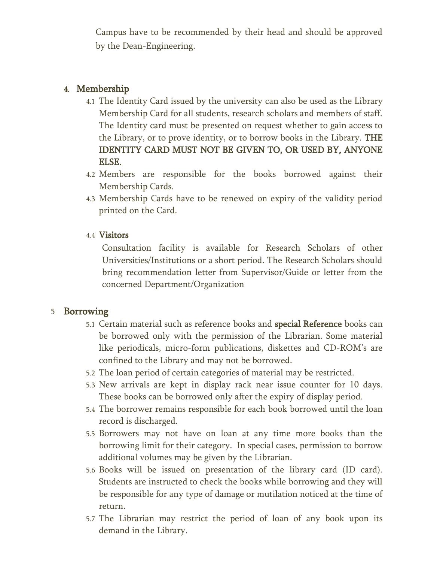Campus have to be recommended by their head and should be approved by the Dean-Engineering.

## 4. Membership

- 4.1 The Identity Card issued by the university can also be used as the Library Membership Card for all students, research scholars and members of staff. The Identity card must be presented on request whether to gain access to the Library, or to prove identity, or to borrow books in the Library. THE IDENTITY CARD MUST NOT BE GIVEN TO, OR USED BY, ANYONE ELSE.
- 4.2 Members are responsible for the books borrowed against their Membership Cards.
- 4.3 Membership Cards have to be renewed on expiry of the validity period printed on the Card.

### 4.4 Visitors

Consultation facility is available for Research Scholars of other Universities/Institutions or a short period. The Research Scholars should bring recommendation letter from Supervisor/Guide or letter from the concerned Department/Organization

### 5 Borrowing

- 5.1 Certain material such as reference books and special Reference books can be borrowed only with the permission of the Librarian. Some material like periodicals, micro-form publications, diskettes and CD-ROM's are confined to the Library and may not be borrowed.
- 5.2 The loan period of certain categories of material may be restricted.
- 5.3 New arrivals are kept in display rack near issue counter for 10 days. These books can be borrowed only after the expiry of display period.
- 5.4 The borrower remains responsible for each book borrowed until the loan record is discharged.
- 5.5 Borrowers may not have on loan at any time more books than the borrowing limit for their category. In special cases, permission to borrow additional volumes may be given by the Librarian.
- 5.6 Books will be issued on presentation of the library card (ID card). Students are instructed to check the books while borrowing and they will be responsible for any type of damage or mutilation noticed at the time of return.
- 5.7 The Librarian may restrict the period of loan of any book upon its demand in the Library.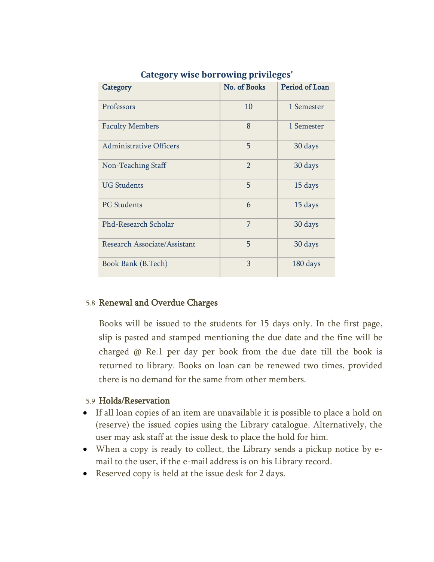| Category                       | No. of Books   | Period of Loan |
|--------------------------------|----------------|----------------|
| Professors                     | 10             | 1 Semester     |
| <b>Faculty Members</b>         | 8              | 1 Semester     |
| <b>Administrative Officers</b> | 5              | 30 days        |
| Non-Teaching Staff             | $\mathfrak{D}$ | 30 days        |
| <b>UG Students</b>             | 5              | 15 days        |
| <b>PG</b> Students             | 6              | 15 days        |
| Phd-Research Scholar           | 7              | 30 days        |
| Research Associate/Assistant   | 5              | 30 days        |
| Book Bank (B.Tech)             | 3              | 180 days       |

### **Category wise borrowing privileges'**

#### 5.8 Renewal and Overdue Charges

Books will be issued to the students for 15 days only. In the first page, slip is pasted and stamped mentioning the due date and the fine will be charged @ Re.1 per day per book from the due date till the book is returned to library. Books on loan can be renewed two times, provided there is no demand for the same from other members.

#### 5.9 Holds/Reservation

- If all loan copies of an item are unavailable it is possible to place a hold on (reserve) the issued copies using the Library catalogue. Alternatively, the user may ask staff at the issue desk to place the hold for him.
- When a copy is ready to collect, the Library sends a pickup notice by email to the user, if the e-mail address is on his Library record.
- Reserved copy is held at the issue desk for 2 days.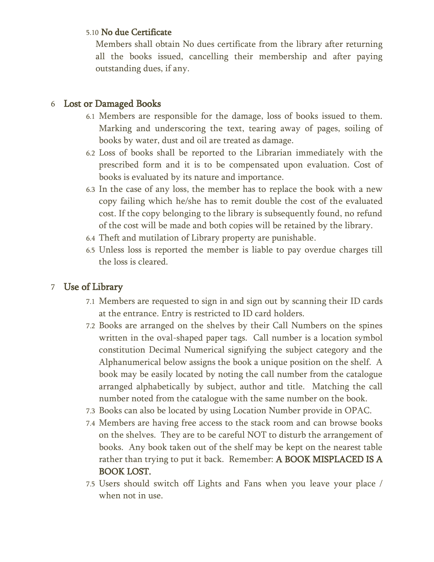#### 5.10 No due Certificate

Members shall obtain No dues certificate from the library after returning all the books issued, cancelling their membership and after paying outstanding dues, if any.

## 6 Lost or Damaged Books

- 6.1 Members are responsible for the damage, loss of books issued to them. Marking and underscoring the text, tearing away of pages, soiling of books by water, dust and oil are treated as damage.
- 6.2 Loss of books shall be reported to the Librarian immediately with the prescribed form and it is to be compensated upon evaluation. Cost of books is evaluated by its nature and importance.
- 6.3 In the case of any loss, the member has to replace the book with a new copy failing which he/she has to remit double the cost of the evaluated cost. If the copy belonging to the library is subsequently found, no refund of the cost will be made and both copies will be retained by the library.
- 6.4 Theft and mutilation of Library property are punishable.
- 6.5 Unless loss is reported the member is liable to pay overdue charges till the loss is cleared.

## 7 Use of Library

- 7.1 Members are requested to sign in and sign out by scanning their ID cards at the entrance. Entry is restricted to ID card holders.
- 7.2 Books are arranged on the shelves by their Call Numbers on the spines written in the oval-shaped paper tags. Call number is a location symbol constitution Decimal Numerical signifying the subject category and the Alphanumerical below assigns the book a unique position on the shelf. A book may be easily located by noting the call number from the catalogue arranged alphabetically by subject, author and title. Matching the call number noted from the catalogue with the same number on the book.
- 7.3 Books can also be located by using Location Number provide in OPAC.
- 7.4 Members are having free access to the stack room and can browse books on the shelves. They are to be careful NOT to disturb the arrangement of books. Any book taken out of the shelf may be kept on the nearest table rather than trying to put it back. Remember: A BOOK MISPLACED IS A BOOK LOST.
- 7.5 Users should switch off Lights and Fans when you leave your place / when not in use.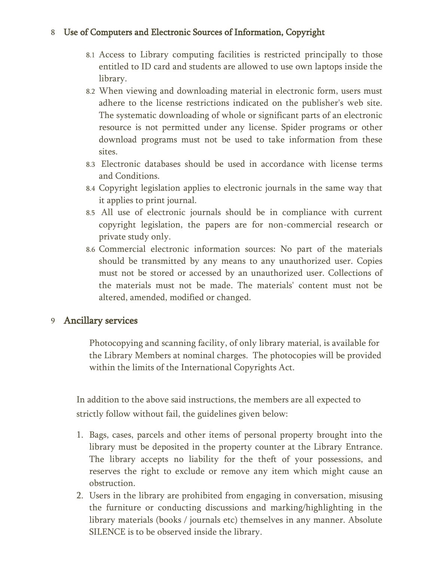## 8 Use of Computers and Electronic Sources of Information, Copyright

- 8.1 Access to Library computing facilities is restricted principally to those entitled to ID card and students are allowed to use own laptops inside the library.
- 8.2 When viewing and downloading material in electronic form, users must adhere to the license restrictions indicated on the publisher's web site. The systematic downloading of whole or significant parts of an electronic resource is not permitted under any license. Spider programs or other download programs must not be used to take information from these sites.
- 8.3 Electronic databases should be used in accordance with license terms and Conditions.
- 8.4 Copyright legislation applies to electronic journals in the same way that it applies to print journal.
- 8.5 All use of electronic journals should be in compliance with current copyright legislation, the papers are for non-commercial research or private study only.
- 8.6 Commercial electronic information sources: No part of the materials should be transmitted by any means to any unauthorized user. Copies must not be stored or accessed by an unauthorized user. Collections of the materials must not be made. The materials' content must not be altered, amended, modified or changed.

### 9 Ancillary services

Photocopying and scanning facility, of only library material, is available for the Library Members at nominal charges. The photocopies will be provided within the limits of the International Copyrights Act.

In addition to the above said instructions, the members are all expected to strictly follow without fail, the guidelines given below:

- 1. Bags, cases, parcels and other items of personal property brought into the library must be deposited in the property counter at the Library Entrance. The library accepts no liability for the theft of your possessions, and reserves the right to exclude or remove any item which might cause an obstruction.
- 2. Users in the library are prohibited from engaging in conversation, misusing the furniture or conducting discussions and marking/highlighting in the library materials (books / journals etc) themselves in any manner. Absolute SILENCE is to be observed inside the library.